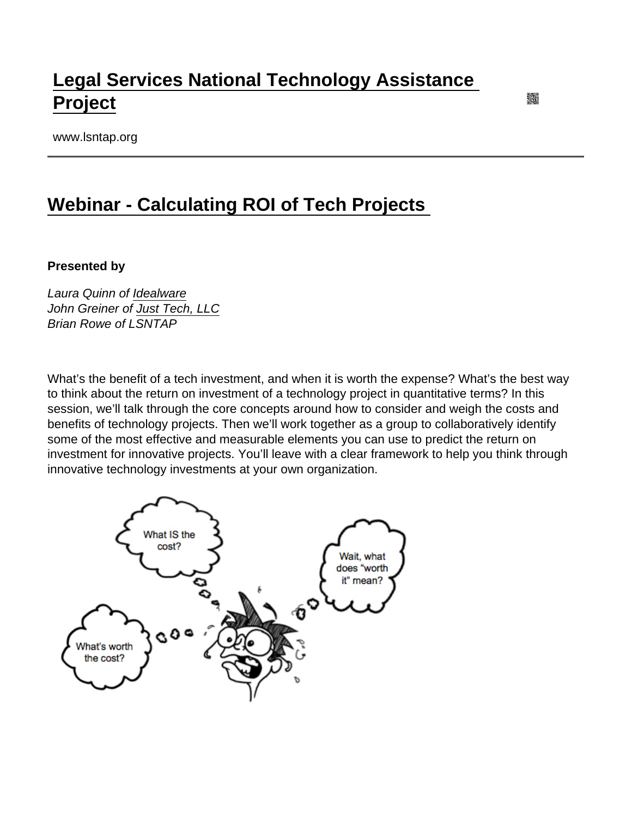## [Legal Services National Technology Assistance](https://www.lsntap.org/)  [Project](https://www.lsntap.org/)

www.lsntap.org

## [Webinar - Calculating ROI of Tech Projects](https://www.lsntap.org/node/116/webinar-calculating-roi-tech-projects)

Presented by

Laura Quinn of [Idealware](https://www.idealware.org/) John Greiner of [Just Tech, LLC](http://www.just-tech.com/) Brian Rowe of LSNTAP

What's the benefit of a tech investment, and when it is worth the expense? What's the best way to think about the return on investment of a technology project in quantitative terms? In this session, we'll talk through the core concepts around how to consider and weigh the costs and benefits of technology projects. Then we'll work together as a group to collaboratively identify some of the most effective and measurable elements you can use to predict the return on investment for innovative projects. You'll leave with a clear framework to help you think through innovative technology investments at your own organization.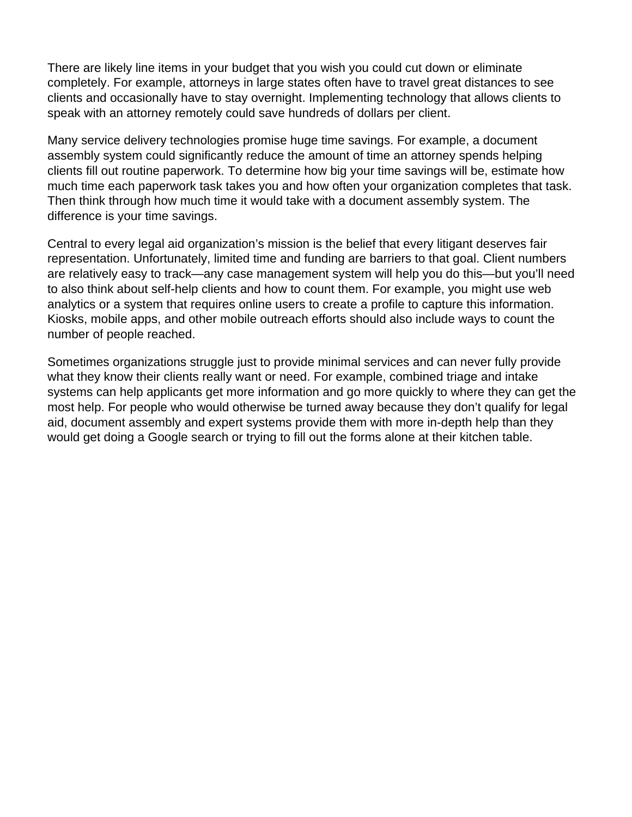There are likely line items in your budget that you wish you could cut down or eliminate completely. For example, attorneys in large states often have to travel great distances to see clients and occasionally have to stay overnight. Implementing technology that allows clients to speak with an attorney remotely could save hundreds of dollars per client.

Many service delivery technologies promise huge time savings. For example, a document assembly system could significantly reduce the amount of time an attorney spends helping clients fill out routine paperwork. To determine how big your time savings will be, estimate how much time each paperwork task takes you and how often your organization completes that task. Then think through how much time it would take with a document assembly system. The difference is your time savings.

Central to every legal aid organization's mission is the belief that every litigant deserves fair representation. Unfortunately, limited time and funding are barriers to that goal. Client numbers are relatively easy to track—any case management system will help you do this—but you'll need to also think about self-help clients and how to count them. For example, you might use web analytics or a system that requires online users to create a profile to capture this information. Kiosks, mobile apps, and other mobile outreach efforts should also include ways to count the number of people reached.

Sometimes organizations struggle just to provide minimal services and can never fully provide what they know their clients really want or need. For example, combined triage and intake systems can help applicants get more information and go more quickly to where they can get the most help. For people who would otherwise be turned away because they don't qualify for legal aid, document assembly and expert systems provide them with more in-depth help than they would get doing a Google search or trying to fill out the forms alone at their kitchen table.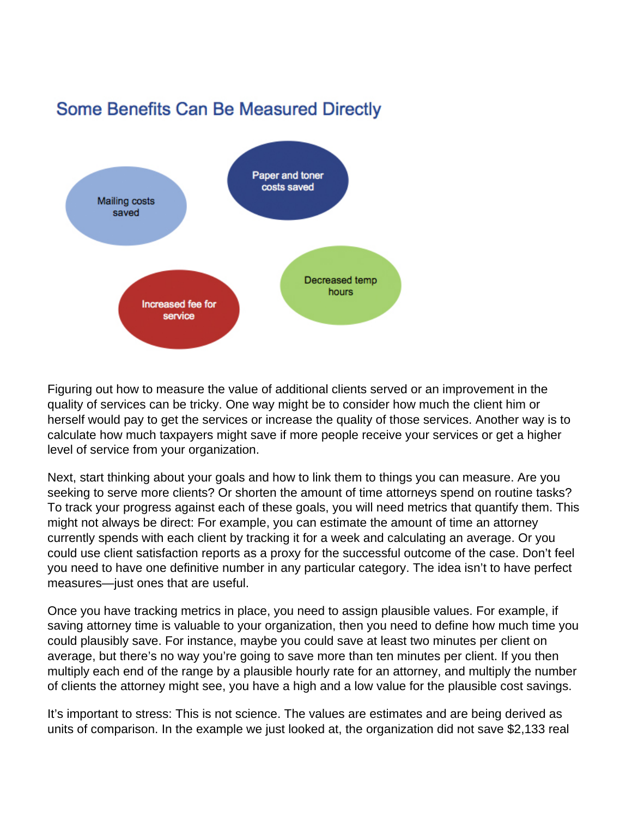## **Some Benefits Can Be Measured Directly**



Figuring out how to measure the value of additional clients served or an improvement in the quality of services can be tricky. One way might be to consider how much the client him or herself would pay to get the services or increase the quality of those services. Another way is to calculate how much taxpayers might save if more people receive your services or get a higher level of service from your organization.

Next, start thinking about your goals and how to link them to things you can measure. Are you seeking to serve more clients? Or shorten the amount of time attorneys spend on routine tasks? To track your progress against each of these goals, you will need metrics that quantify them. This might not always be direct: For example, you can estimate the amount of time an attorney currently spends with each client by tracking it for a week and calculating an average. Or you could use client satisfaction reports as a proxy for the successful outcome of the case. Don't feel you need to have one definitive number in any particular category. The idea isn't to have perfect measures—just ones that are useful.

Once you have tracking metrics in place, you need to assign plausible values. For example, if saving attorney time is valuable to your organization, then you need to define how much time you could plausibly save. For instance, maybe you could save at least two minutes per client on average, but there's no way you're going to save more than ten minutes per client. If you then multiply each end of the range by a plausible hourly rate for an attorney, and multiply the number of clients the attorney might see, you have a high and a low value for the plausible cost savings.

It's important to stress: This is not science. The values are estimates and are being derived as units of comparison. In the example we just looked at, the organization did not save \$2,133 real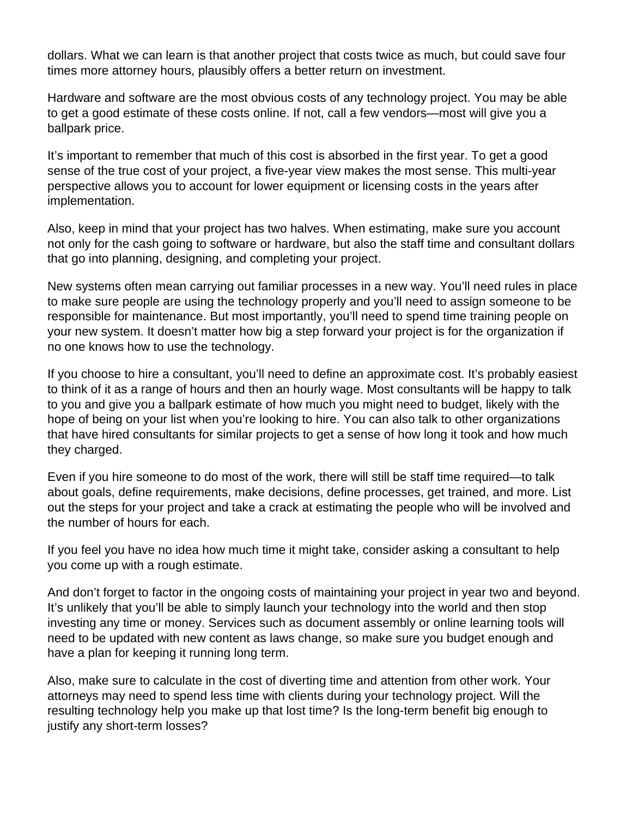dollars. What we can learn is that another project that costs twice as much, but could save four times more attorney hours, plausibly offers a better return on investment.

Hardware and software are the most obvious costs of any technology project. You may be able to get a good estimate of these costs online. If not, call a few vendors—most will give you a ballpark price.

It's important to remember that much of this cost is absorbed in the first year. To get a good sense of the true cost of your project, a five-year view makes the most sense. This multi-year perspective allows you to account for lower equipment or licensing costs in the years after implementation.

Also, keep in mind that your project has two halves. When estimating, make sure you account not only for the cash going to software or hardware, but also the staff time and consultant dollars that go into planning, designing, and completing your project.

New systems often mean carrying out familiar processes in a new way. You'll need rules in place to make sure people are using the technology properly and you'll need to assign someone to be responsible for maintenance. But most importantly, you'll need to spend time training people on your new system. It doesn't matter how big a step forward your project is for the organization if no one knows how to use the technology.

If you choose to hire a consultant, you'll need to define an approximate cost. It's probably easiest to think of it as a range of hours and then an hourly wage. Most consultants will be happy to talk to you and give you a ballpark estimate of how much you might need to budget, likely with the hope of being on your list when you're looking to hire. You can also talk to other organizations that have hired consultants for similar projects to get a sense of how long it took and how much they charged.

Even if you hire someone to do most of the work, there will still be staff time required—to talk about goals, define requirements, make decisions, define processes, get trained, and more. List out the steps for your project and take a crack at estimating the people who will be involved and the number of hours for each.

If you feel you have no idea how much time it might take, consider asking a consultant to help you come up with a rough estimate.

And don't forget to factor in the ongoing costs of maintaining your project in year two and beyond. It's unlikely that you'll be able to simply launch your technology into the world and then stop investing any time or money. Services such as document assembly or online learning tools will need to be updated with new content as laws change, so make sure you budget enough and have a plan for keeping it running long term.

Also, make sure to calculate in the cost of diverting time and attention from other work. Your attorneys may need to spend less time with clients during your technology project. Will the resulting technology help you make up that lost time? Is the long-term benefit big enough to justify any short-term losses?